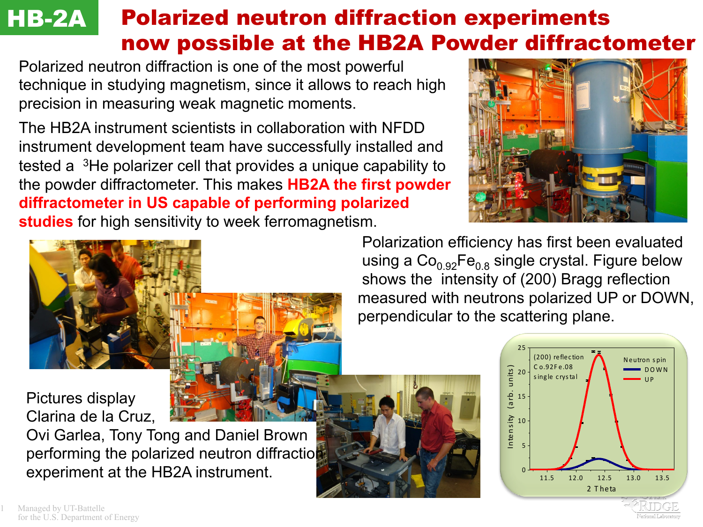## Polarized neutron diffraction experiments now possible at the HB2A Powder diffractometer **HB-2A**

Polarized neutron diffraction is one of the most powerful technique in studying magnetism, since it allows to reach high precision in measuring weak magnetic moments.

The HB2A instrument scientists in collaboration with NFDD instrument development team have successfully installed and tested a 3He polarizer cell that provides a unique capability to the powder diffractometer. This makes **HB2A the first powder diffractometer in US capable of performing polarized studies** for high sensitivity to week ferromagnetism.





Pictures display Clarina de la Cruz,

Ovi Garlea, Tony Tong and Daniel Brown performing the polarized neutron diffraction experiment at the HB2A instrument.  $\blacksquare$ 

 Polarization efficiency has first been evaluated using a  $Co<sub>0.92</sub>Fe<sub>0.8</sub>$  single crystal. Figure below shows the intensity of (200) Bragg reflection measured with neutrons polarized UP or DOWN, perpendicular to the scattering plane.